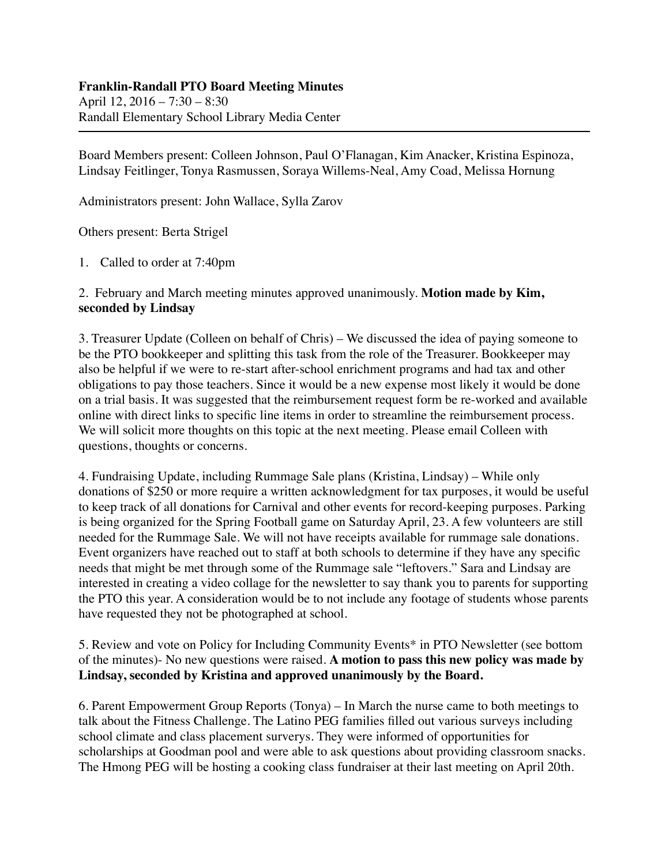## **Franklin-Randall PTO Board Meeting Minutes**

April 12, 2016 – 7:30 – 8:30 Randall Elementary School Library Media Center

Board Members present: Colleen Johnson, Paul O'Flanagan, Kim Anacker, Kristina Espinoza, Lindsay Feitlinger, Tonya Rasmussen, Soraya Willems-Neal, Amy Coad, Melissa Hornung

Administrators present: John Wallace, Sylla Zarov

Others present: Berta Strigel

1. Called to order at 7:40pm

2. February and March meeting minutes approved unanimously. **Motion made by Kim, seconded by Lindsay**

3. Treasurer Update (Colleen on behalf of Chris) – We discussed the idea of paying someone to be the PTO bookkeeper and splitting this task from the role of the Treasurer. Bookkeeper may also be helpful if we were to re-start after-school enrichment programs and had tax and other obligations to pay those teachers. Since it would be a new expense most likely it would be done on a trial basis. It was suggested that the reimbursement request form be re-worked and available online with direct links to specific line items in order to streamline the reimbursement process. We will solicit more thoughts on this topic at the next meeting. Please email Colleen with questions, thoughts or concerns.

4. Fundraising Update, including Rummage Sale plans (Kristina, Lindsay) – While only donations of \$250 or more require a written acknowledgment for tax purposes, it would be useful to keep track of all donations for Carnival and other events for record-keeping purposes. Parking is being organized for the Spring Football game on Saturday April, 23. A few volunteers are still needed for the Rummage Sale. We will not have receipts available for rummage sale donations. Event organizers have reached out to staff at both schools to determine if they have any specific needs that might be met through some of the Rummage sale "leftovers." Sara and Lindsay are interested in creating a video collage for the newsletter to say thank you to parents for supporting the PTO this year. A consideration would be to not include any footage of students whose parents have requested they not be photographed at school.

5. Review and vote on Policy for Including Community Events\* in PTO Newsletter (see bottom of the minutes)- No new questions were raised. **A motion to pass this new policy was made by Lindsay, seconded by Kristina and approved unanimously by the Board.**

6. Parent Empowerment Group Reports (Tonya) – In March the nurse came to both meetings to talk about the Fitness Challenge. The Latino PEG families filled out various surveys including school climate and class placement surverys. They were informed of opportunities for scholarships at Goodman pool and were able to ask questions about providing classroom snacks. The Hmong PEG will be hosting a cooking class fundraiser at their last meeting on April 20th.